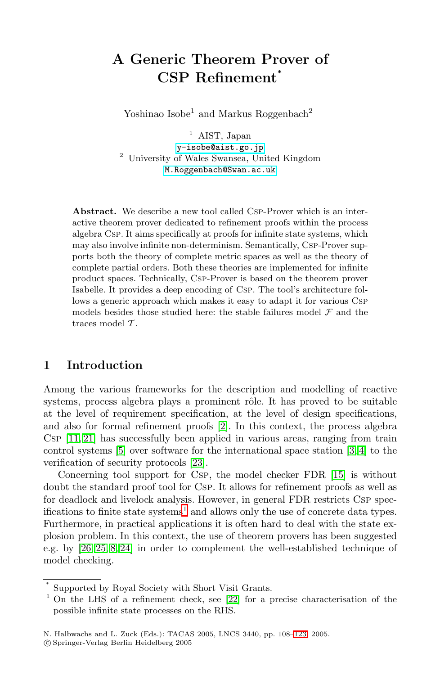# **A Generic Theorem Prover of CSP Refinement***<sup>∗</sup>*

Yoshinao Isobe<sup>1</sup> and Markus Roggenbach<sup>2</sup>

<sup>1</sup> AIST, Japan [y-isobe@aist.go.jp](mailto:y-isobe@aist.go.jp)<br><sup>2</sup> University of Wales Swansea, United Kingdom [M.Roggenbach@Swan.ac.uk](mailto:M.Roggenbach@Swan.ac.uk)

**Abstract.** We describe a new tool called Csp-Prover which is an interactive theorem prover dedicated to refinement proofs within the process algebra Csp. It aims specifically at proofs for infinite state systems, which may also involve infinite non-determinism. Semantically, Csp-Prover supports both the theory of complete metric spaces as well as the theory of complete partial orders. Both these theories are implemented for infinite product spaces. Technically, Csp-Prover is based on the theorem prover Isabelle. It provides a deep encoding of Csp. The tool's architecture follows a generic approach which makes it easy to adapt it for various Csp models besides those studied here: the stable failures model  $\mathcal F$  and the traces model  $\mathcal{T}$ .

# **1 Introduction**

Among the various frameworks for the description and modelling of reactive systems, process algebra plays a prominent rôle. It has proved to be suitable at the level of requirement specification, at the level of design specifications, and also for formal refinement proofs [\[2\]](#page-14-0). In this context, the process algebra Csp [\[11,](#page-14-0) [21\]](#page-15-0) has successfully been applied in various areas, ranging from train control systems [\[5\]](#page-14-0) over software for the international space station [\[3, 4\]](#page-14-0) to the verification of security protocols [\[23\]](#page-15-0).

Concerning tool support for Csp, the model checker FDR [\[15\]](#page-14-0) is without doubt the standard proof tool for Csp. It allows for refinement proofs as well as for deadlock and livelock analysis. However, in general FDR restricts Csp specifications to finite state systems<sup>1</sup> and allows only the use of concrete data types. Furthermore, in practical applications it is often hard to deal with the state explosion problem. In this context, the use of theorem provers has been suggested e.g. by [\[26, 25,](#page-15-0) [8,](#page-14-0) [24\]](#page-15-0) in order to complement the well-established technique of model checking.

<sup>∗</sup> Supported by Royal Society with Short Visit Grants.

<sup>&</sup>lt;sup>1</sup> On the LHS of a refinement check, see [\[22\]](#page-15-0) for a precise characterisation of the possible infinite state processes on the RHS.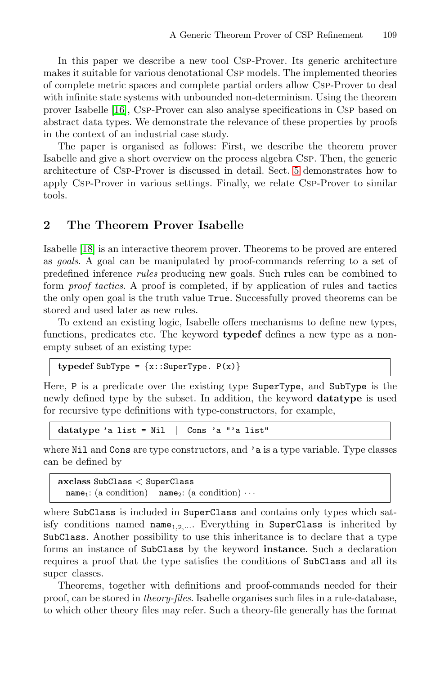In this paper we describe a new tool Csp-Prover. Its generic architecture makes it suitable for various denotational Csp models. The implemented theories of complete metric spaces and complete partial orders allow Csp-Prover to deal with infinite state systems with unbounded non-determinism. Using the theorem prover Isabelle [\[16\]](#page-14-0), Csp-Prover can also analyse specifications in Csp based on abstract data types. We demonstrate the relevance of these properties by proofs in the context of an industrial case study.

The paper is organised as follows: First, we describe the theorem prover Isabelle and give a short overview on the process algebra Csp. Then, the generic architecture of Csp-Prover is discussed in detail. Sect. [5](#page-9-0) demonstrates how to apply Csp-Prover in various settings. Finally, we relate Csp-Prover to similar tools.

#### **2 The Theorem Prover Isabelle**

Isabelle [\[18\]](#page-15-0) is an interactive theorem prover. Theorems to be proved are entered as *goals*. A goal can be manipulated by proof-commands referring to a set of predefined inference *rules* producing new goals. Such rules can be combined to form *proof tactics*. A proof is completed, if by application of rules and tactics the only open goal is the truth value True. Successfully proved theorems can be stored and used later as new rules.

To extend an existing logic, Isabelle offers mechanisms to define new types, functions, predicates etc. The keyword **typedef** defines a new type as a nonempty subset of an existing type:

 ${typedef SubType = {x::SuperType. P(x)}$ 

Here, P is a predicate over the existing type SuperType, and SubType is the newly defined type by the subset. In addition, the keyword **datatype** is used for recursive type definitions with type-constructors, for example,

**datatype** 'a list = Nil | Cons 'a "'a list"

where Nil and Cons are type constructors, and 'a is a type variable. Type classes can be defined by

**axclass** SubClass < SuperClass name<sub>1</sub>: (a condition) name<sub>2</sub>: (a condition)  $\cdots$ 

where SubClass is included in SuperClass and contains only types which satisfy conditions named  $name_{1,2,\dots}$ . Everything in SuperClass is inherited by SubClass. Another possibility to use this inheritance is to declare that a type forms an instance of SubClass by the keyword **instance**. Such a declaration requires a proof that the type satisfies the conditions of SubClass and all its super classes.

Theorems, together with definitions and proof-commands needed for their proof, can be stored in *theory-files*. Isabelle organises such files in a rule-database, to which other theory files may refer. Such a theory-file generally has the format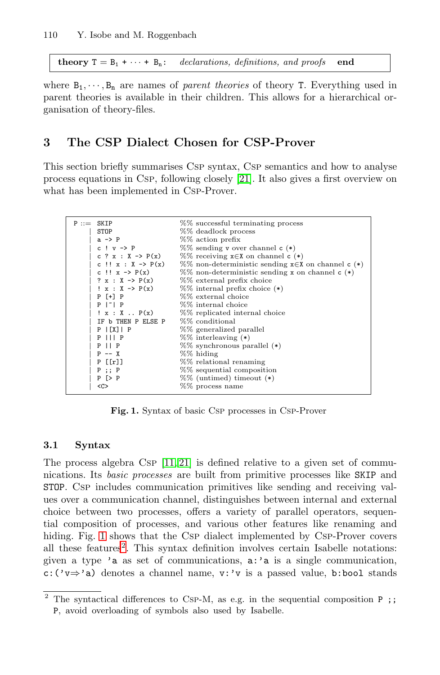<span id="page-2-0"></span>**theory**  $T = B_1 + \cdots + B_n$ : declarations, definitions, and proofs **end** 

where  $B_1, \dots, B_n$  are names of *parent theories* of theory T. Everything used in parent theories is available in their children. This allows for a hierarchical organisation of theory-files.

## **3 The CSP Dialect Chosen for CSP-Prover**

This section briefly summarises Csp syntax, Csp semantics and how to analyse process equations in Csp, following closely [\[21\]](#page-15-0). It also gives a first overview on what has been implemented in Csp-Prover.

| $P ::=$ SKIP                        | %% successful terminating process                                                                                       |
|-------------------------------------|-------------------------------------------------------------------------------------------------------------------------|
| <b>STOP</b>                         | %% deadlock process                                                                                                     |
| $a \rightarrow P$                   | %% action prefix                                                                                                        |
| $c : v \rightarrow P$               | %% sending v over channel $c(*)$                                                                                        |
|                                     | c ? x : $X \rightarrow P(x)$ %% receiving $x \in X$ on channel c (*)                                                    |
|                                     | c !! x : $X \rightarrow P(x)$ %% non-deterministic sending $x \in X$ on channel c (*)                                   |
|                                     | c !! $x \rightarrow P(x)$ %% non-deterministic sending x on channel c (*)                                               |
|                                     | $? x : X \rightarrow P(x)$ %% external prefix choice                                                                    |
|                                     | $\cdot$ x : X -> P(x) %% internal prefix choice (*)                                                                     |
| $P$ [+] $P$                         | %% external choice                                                                                                      |
| $P  ^{\sim}   P$                    | $%$ % internal choice                                                                                                   |
|                                     | $\mathbf{y} \times \mathbf{x}$ $\mathbf{y} \times \mathbf{y}$ $\mathbf{y} \times \mathbf{y}$ replicated internal choice |
| IF b THEN P ELSE P $\%$ conditional |                                                                                                                         |
| $P$   [X]   P                       | %% generalized parallel                                                                                                 |
| $P$ $  $ $P$                        | $%$ interleaving $(*)$                                                                                                  |
| $P$    $P$                          | %% synchronous parallel (*)                                                                                             |
| $P$ -- X                            | %% hiding                                                                                                               |
| $P$ [[r]]                           | %% relational renaming                                                                                                  |
| $P$ ; $P$                           | %% sequential composition                                                                                               |
| $P$ [> $P$                          | $%$ (untimed) timeout $(*)$                                                                                             |
| $C$                                 | $%$ process name                                                                                                        |
|                                     |                                                                                                                         |

**Fig. 1.** Syntax of basic Csp processes in Csp-Prover

#### **3.1 Syntax**

The process algebra  $CSP$  [\[11,](#page-14-0) [21\]](#page-15-0) is defined relative to a given set of communications. Its *basic processes* are built from primitive processes like SKIP and STOP. Csp includes communication primitives like sending and receiving values over a communication channel, distinguishes between internal and external choice between two processes, offers a variety of parallel operators, sequential composition of processes, and various other features like renaming and hiding. Fig. 1 shows that the CSP dialect implemented by CSP-Prover covers all these features<sup>2</sup>. This syntax definition involves certain Isabelle notations: given a type 'a as set of communications, a:'a is a single communication, c:('v⇒'a) denotes a channel name, v:'v is a passed value, b:bool stands

 $\overline{2}$  The syntactical differences to Csp-M, as e.g. in the sequential composition P;; P, avoid overloading of symbols also used by Isabelle.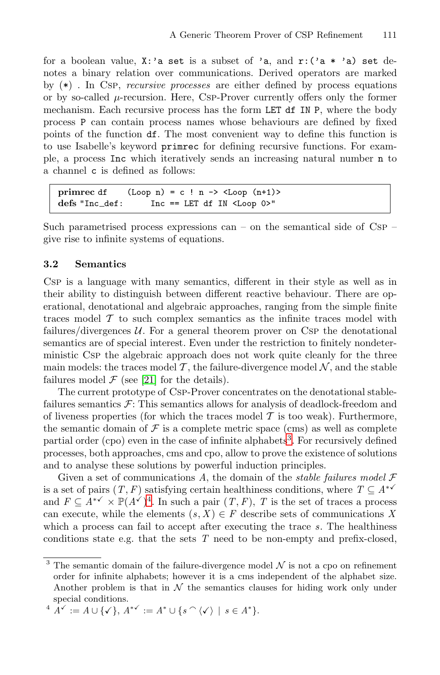<span id="page-3-0"></span>for a boolean value,  $X: a$  set is a subset of 'a, and  $r: (a * 'a)$  set denotes a binary relation over communications. Derived operators are marked by (\*) . In Csp, *recursive processes* are either defined by process equations or by so-called  $\mu$ -recursion. Here, Csp-Prover currently offers only the former mechanism. Each recursive process has the form LET df IN P, where the body process P can contain process names whose behaviours are defined by fixed points of the function df. The most convenient way to define this function is to use Isabelle's keyword primrec for defining recursive functions. For example, a process Inc which iteratively sends an increasing natural number n to a channel c is defined as follows:

**primrec** df  $(\text{Loop } n) = c ! n \rightarrow \text{Loop } (n+1)$ **defs** "Inc def: Inc == LET df IN <Loop 0>"

Such parametrised process expressions can – on the semantical side of Csp – give rise to infinite systems of equations.

#### **3.2 Semantics**

Csp is a language with many semantics, different in their style as well as in their ability to distinguish between different reactive behaviour. There are operational, denotational and algebraic approaches, ranging from the simple finite traces model  $\mathcal T$  to such complex semantics as the infinite traces model with failures/divergences  $U$ . For a general theorem prover on Csp the denotational semantics are of special interest. Even under the restriction to finitely nondeterministic Csp the algebraic approach does not work quite cleanly for the three main models: the traces model  $\mathcal T$ , the failure-divergence model  $\mathcal N$ , and the stable failures model  $\mathcal F$  (see [\[21\]](#page-15-0) for the details).

The current prototype of Csp-Prover concentrates on the denotational stablefailures semantics  $\mathcal{F}$ : This semantics allows for analysis of deadlock-freedom and of liveness properties (for which the traces model  $\mathcal T$  is too weak). Furthermore, the semantic domain of  $\mathcal F$  is a complete metric space (cms) as well as complete partial order (cpo) even in the case of infinite alphabets<sup>3</sup>. For recursively defined processes, both approaches, cms and cpo, allow to prove the existence of solutions and to analyse these solutions by powerful induction principles.

Given a set of communications *A*, the domain of the *stable failures model* F is a set of pairs  $(T, F)$  satisfying certain healthiness conditions, where  $T \subseteq A^{*\checkmark}$ and  $F \subseteq A^{*\checkmark} \times \mathbb{P}(A^{\checkmark})^4$ . In such a pair  $(T, F)$ , *T* is the set of traces a process can execute, while the elements  $(s, X) \in F$  describe sets of communications X which a process can fail to accept after executing the trace *s*. The healthiness conditions state e.g. that the sets *T* need to be non-empty and prefix-closed,

$$
{}^4\tilde{A}^{\checkmark} := A \cup \{\checkmark\}, A^{*\checkmark} := A^* \cup \{s \cap \langle \checkmark \rangle \mid s \in A^*\}.
$$

 $^3$  The semantic domain of the failure-divergence model  $\mathcal N$  is not a cpo on refinement order for infinite alphabets; however it is a cms independent of the alphabet size. Another problem is that in  $\mathcal N$  the semantics clauses for hiding work only under special conditions.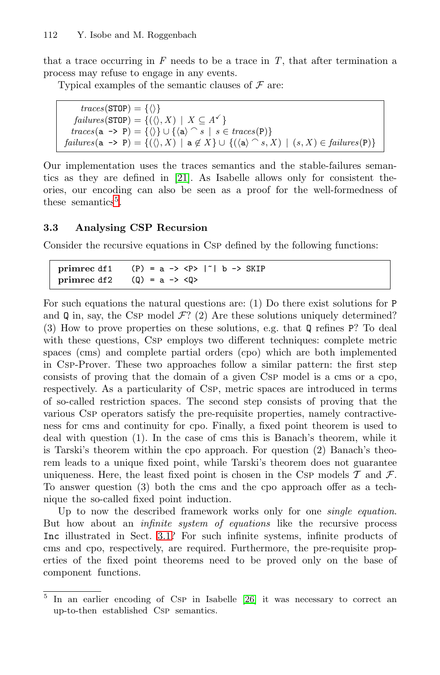<span id="page-4-0"></span>that a trace occurring in  $F$  needs to be a trace in  $T$ , that after termination a process may refuse to engage in any events.

Typical examples of the semantic clauses of  $\mathcal F$  are:

 $traces(\text{STOP}) = {\langle \langle \rangle \}$  $\mathit{failures}(\texttt{STOP}) = \{(\langle \rangle, X) \mid X \subseteq A^{\checkmark}\}$  $traces(a \rightarrow P) = \{ \langle \rangle \} \cup \{ \langle a \rangle \cap s \mid s \in traces(P) \}$  $\mathit{failures}(\mathtt{a} \rightarrow \mathtt{P}) = \{(\langle \rangle, X) \mid \mathtt{a} \notin X\} \cup \{(\langle \mathtt{a} \rangle \cap s, X) \mid (s, X) \in \mathit{failures}(\mathtt{P})\}$ 

Our implementation uses the traces semantics and the stable-failures semantics as they are defined in [\[21\]](#page-15-0). As Isabelle allows only for consistent theories, our encoding can also be seen as a proof for the well-formedness of these semantics<sup>5</sup>.

#### **3.3 Analysing CSP Recursion**

Consider the recursive equations in Csp defined by the following functions:

**primrec** df1 (P) = a -> <P>  $|^{\sim}|$  b -> SKIP **primrec** df2 (Q) = a -> <Q>

For such equations the natural questions are: (1) Do there exist solutions for P and Q in, say, the CsP model  $\mathcal{F}$ ? (2) Are these solutions uniquely determined? (3) How to prove properties on these solutions, e.g. that Q refines P? To deal with these questions, CsP employs two different techniques: complete metric spaces (cms) and complete partial orders (cpo) which are both implemented in Csp-Prover. These two approaches follow a similar pattern: the first step consists of proving that the domain of a given Csp model is a cms or a cpo, respectively. As a particularity of Csp, metric spaces are introduced in terms of so-called restriction spaces. The second step consists of proving that the various Csp operators satisfy the pre-requisite properties, namely contractiveness for cms and continuity for cpo. Finally, a fixed point theorem is used to deal with question (1). In the case of cms this is Banach's theorem, while it is Tarski's theorem within the cpo approach. For question (2) Banach's theorem leads to a unique fixed point, while Tarski's theorem does not guarantee uniqueness. Here, the least fixed point is chosen in the CSP models  $\mathcal T$  and  $\mathcal F$ . To answer question (3) both the cms and the cpo approach offer as a technique the so-called fixed point induction.

Up to now the described framework works only for one *single equation*. But how about an *infinite system of equations* like the recursive process Inc illustrated in Sect. [3.1?](#page-2-0) For such infinite systems, infinite products of cms and cpo, respectively, are required. Furthermore, the pre-requisite properties of the fixed point theorems need to be proved only on the base of component functions.

 $\overline{5}$  In an earlier encoding of Csp in Isabelle [\[26\]](#page-15-0) it was necessary to correct an up-to-then established Csp semantics.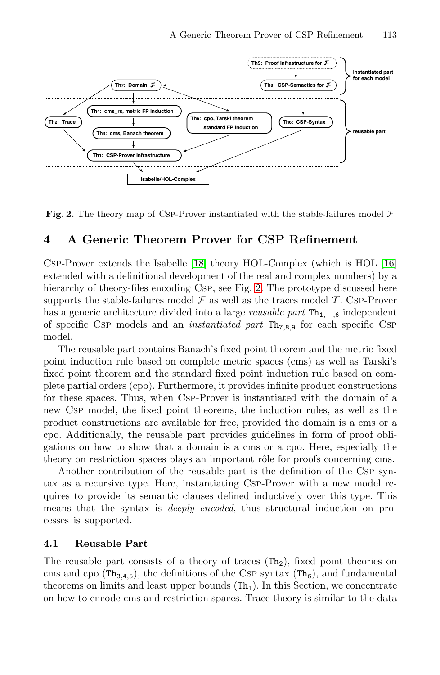<span id="page-5-0"></span>

**Fig. 2.** The theory map of Csp-Prover instantiated with the stable-failures model  $\mathcal{F}$ 

### **4 A Generic Theorem Prover for CSP Refinement**

Csp-Prover extends the Isabelle [\[18\]](#page-15-0) theory HOL-Complex (which is HOL [\[16\]](#page-14-0) extended with a definitional development of the real and complex numbers) by a hierarchy of theory-files encoding Csp, see Fig. 2. The prototype discussed here supports the stable-failures model  $\mathcal F$  as well as the traces model  $\mathcal T$ . Csp-Prover has a generic architecture divided into a large *reusable part*  $Th_{1,\dots,6}$  independent of specific Csp models and an *instantiated part* Th7,8,<sup>9</sup> for each specific Csp model.

The reusable part contains Banach's fixed point theorem and the metric fixed point induction rule based on complete metric spaces (cms) as well as Tarski's fixed point theorem and the standard fixed point induction rule based on complete partial orders (cpo). Furthermore, it provides infinite product constructions for these spaces. Thus, when Csp-Prover is instantiated with the domain of a new Csp model, the fixed point theorems, the induction rules, as well as the product constructions are available for free, provided the domain is a cms or a cpo. Additionally, the reusable part provides guidelines in form of proof obligations on how to show that a domain is a cms or a cpo. Here, especially the theory on restriction spaces plays an important rôle for proofs concerning cms.

Another contribution of the reusable part is the definition of the Csp syntax as a recursive type. Here, instantiating Csp-Prover with a new model requires to provide its semantic clauses defined inductively over this type. This means that the syntax is *deeply encoded*, thus structural induction on processes is supported.

#### **4.1 Reusable Part**

The reusable part consists of a theory of traces  $(Th<sub>2</sub>)$ , fixed point theories on cms and cpo ( $Th_{3,4,5}$ ), the definitions of the Csp syntax ( $Th_6$ ), and fundamental theorems on limits and least upper bounds  $(Th<sub>1</sub>)$ . In this Section, we concentrate on how to encode cms and restriction spaces. Trace theory is similar to the data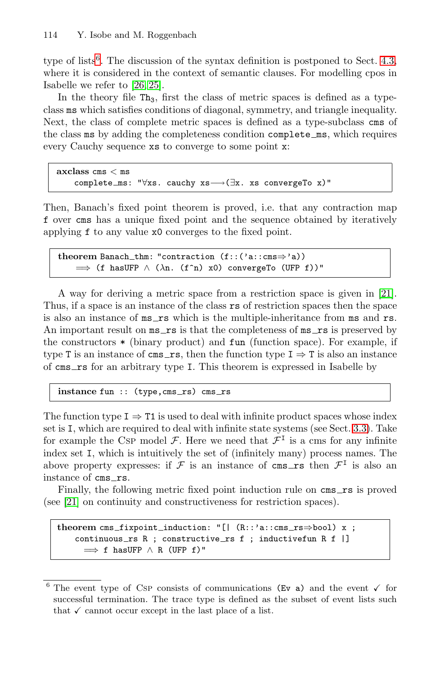type of lists<sup>6</sup>. The discussion of the syntax definition is postponed to Sect. [4.3,](#page-7-0) where it is considered in the context of semantic clauses. For modelling cpos in Isabelle we refer to [\[26, 25\]](#page-15-0).

In the theory file  $Th_3$ , first the class of metric spaces is defined as a typeclass ms which satisfies conditions of diagonal, symmetry, and triangle inequality. Next, the class of complete metric spaces is defined as a type-subclass cms of the class ms by adding the completeness condition complete ms, which requires every Cauchy sequence xs to converge to some point x:

```
axclass cms < ms
   complete_ms: "∀xs. cauchy xs-→(∃x. xs convergeTo x)"
```
Then, Banach's fixed point theorem is proved, i.e. that any contraction map f over cms has a unique fixed point and the sequence obtained by iteratively applying f to any value x0 converges to the fixed point.

```
theorem Banach thm: "contraction (f::('a::cms⇒'a))
    \implies (f hasUFP \wedge (\lambdan. (f^n) x0) convergeTo (UFP f))"
```
A way for deriving a metric space from a restriction space is given in [\[21\]](#page-15-0). Thus, if a space is an instance of the class rs of restriction spaces then the space is also an instance of  $ms\_rs$  which is the multiple-inheritance from ms and rs. An important result on  $ms\_rs$  is that the completeness of  $ms\_rs$  is preserved by the constructors \* (binary product) and fun (function space). For example, if type T is an instance of cms\_rs, then the function type  $I \Rightarrow T$  is also an instance of cms rs for an arbitrary type I. This theorem is expressed in Isabelle by

instance fun :: (type, cms\_rs) cms\_rs

The function type  $I \Rightarrow T1$  is used to deal with infinite product spaces whose index set is I, which are required to deal with infinite state systems (see Sect. [3.3\)](#page-4-0). Take for example the CsP model  $\mathcal{F}$ . Here we need that  $\mathcal{F}^{\mathcal{I}}$  is a cms for any infinite index set I, which is intuitively the set of (infinitely many) process names. The above property expresses: if  $\mathcal F$  is an instance of cms\_rs then  $\mathcal F^I$  is also an instance of cms\_rs.

Finally, the following metric fixed point induction rule on cms\_rs is proved (see [\[21\]](#page-15-0) on continuity and constructiveness for restriction spaces).

```
theorem cms_fixpoint_induction: "[| (R::'a::cms_rs⇒bool) x ;
   continuous_rs R ; constructive_rs f ; inductivefun R f |]
     \implies f hasUFP \land R (UFP f)"
```
The event type of Csp consists of communications (Ev a) and the event  $\checkmark$  for successful termination. The trace type is defined as the subset of event lists such that  $\checkmark$  cannot occur except in the last place of a list.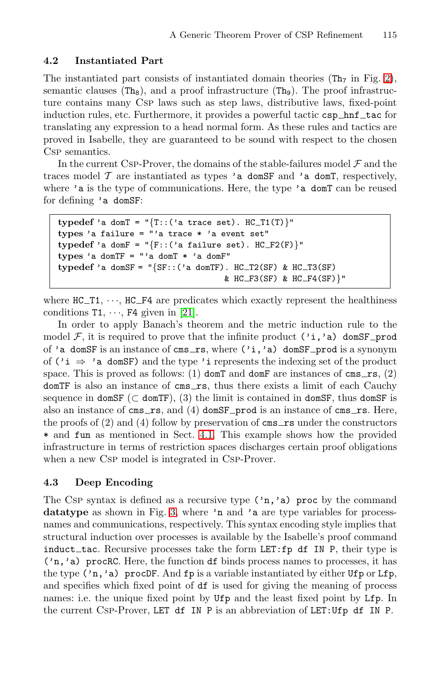## <span id="page-7-0"></span>**4.2 Instantiated Part**

The instantiated part consists of instantiated domain theories  $(Th<sub>7</sub>$  in Fig. [2\)](#page-5-0), semantic clauses (Th<sub>8</sub>), and a proof infrastructure (Th<sub>9</sub>). The proof infrastructure contains many Csp laws such as step laws, distributive laws, fixed-point induction rules, etc. Furthermore, it provides a powerful tactic csp\_hnf\_tac for translating any expression to a head normal form. As these rules and tactics are proved in Isabelle, they are guaranteed to be sound with respect to the chosen CsP semantics.

In the current CSP-Prover, the domains of the stable-failures model  $\mathcal F$  and the traces model  $\mathcal T$  are instantiated as types 'a domSF and 'a domT, respectively, where 'a is the type of communications. Here, the type 'a domT can be reused for defining 'a domSF:

```
\tt typedef 'a domT = "\{T::('a trace set)}. HC_T1(T)}"types 'a failure = "'a trace * 'a event set"
\tt type def 'a domF = "\{F::('a failure set)}. HC_F2(F)types 'a domTF = "'a domT * 'a domF"
typedef 'a domSF = "\{SF::( 'a domTF). HC_T2(SF) & HC_T3(SF)
                                    & HC_F3(SF) & HC_F4(SF) "
```
where  $HC_T1, \dots, HC_F4$  are predicates which exactly represent the healthiness conditions  $T1, \dots, F4$  given in [\[21\]](#page-15-0).

In order to apply Banach's theorem and the metric induction rule to the model  $\mathcal{F}$ , it is required to prove that the infinite product ('i,'a) domSF\_prod of 'a domSF is an instance of cms\_rs, where  $('i, 'a)$  domSF prod is a synonym of ( $'$ **i**  $\Rightarrow$  'a domSF) and the type '**i** represents the indexing set of the product space. This is proved as follows: (1) don't and domF are instances of cms\_rs, (2) domTF is also an instance of cms\_rs, thus there exists a limit of each Cauchy sequence in domSF ( $\subset$  domTF), (3) the limit is contained in domSF, thus domSF is also an instance of cms\_rs, and  $(4)$  domSF\_prod is an instance of cms\_rs. Here, the proofs of  $(2)$  and  $(4)$  follow by preservation of cms  $\text{xs}$  under the constructors \* and fun as mentioned in Sect. [4.1.](#page-5-0) This example shows how the provided infrastructure in terms of restriction spaces discharges certain proof obligations when a new Csp model is integrated in Csp-Prover.

## **4.3 Deep Encoding**

The Csp syntax is defined as a recursive type  $(\cdot, \cdot, \cdot)$  proc by the command datatype as shown in Fig. [3,](#page-8-0) where 'n and 'a are type variables for processnames and communications, respectively. This syntax encoding style implies that structural induction over processes is available by the Isabelle's proof command  $induct\_tac$ . Recursive processes take the form LET: fp df IN P, their type is ('n,'a) procRC. Here, the function df binds process names to processes, it has the type ('n,'a) procDF. And fp is a variable instantiated by either Ufp or Lfp, and specifies which fixed point of df is used for giving the meaning of process names: i.e. the unique fixed point by Ufp and the least fixed point by Lfp. In the current Csp-Prover, LET df IN P is an abbreviation of LET:Ufp df IN P.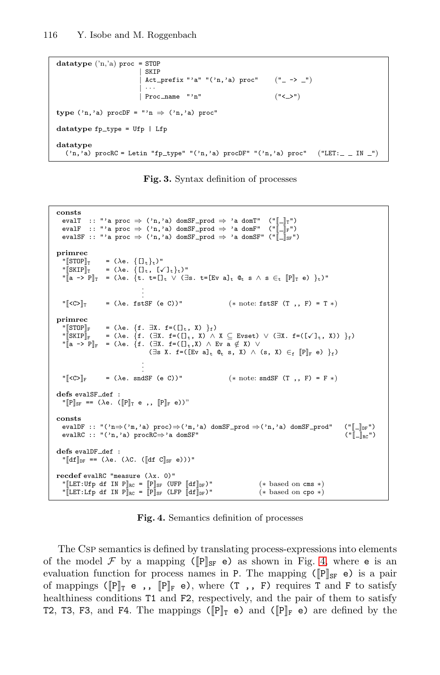```
datatype ('n,'a) proc = STOP
                       | SKIP
                      | Act_prefix "'a" "('n,'a) proc" ("_ -> _")
                       | ···
                      | Proc name "'n" ("< >")
type ('n, 'a) procDF = "'n \Rightarrow ('n, 'a) proc"
datatype fp_{\text{type}} = Ufp + Lfpdatatype
  ('n,'a) procRC = Letin "fp_type" "('n,'a) procDF" "('n,'a) proc" ("LET:_ _ IN _")
```
**Fig. 3.** Syntax definition of processes

```
consts
    evalT :: "'a proc ⇒ ('n,'a) domSF_prod ⇒ 'a domT" ("[_]<sub>T</sub>")<br>evalF :: "'a proc ⇒ ('n,'a) domSF_prod ⇒ 'a domF" ("[_]<sub>F</sub>")
   evalSF :: "'a proc \Rightarrow ('n,'a) domSF_prod \Rightarrow 'a domSF" ("\lbrack \lbrack \lbrack \cdot \rbrack \rbracksF")
primrec
    \begin{array}{lll} \texttt{``[STOP]}_{\texttt{T}} & = (\lambda \texttt{e.} \ \{[]_{\texttt{t}}\}_{\texttt{t}})\texttt{''} & \\ \texttt{``[ SKIP]}_{\texttt{T}} & = (\lambda \texttt{e.} \ \{[]_{\texttt{t}}, \ [\checkmark]_{\texttt{t}}\}_{\texttt{t}})\texttt{''} \end{array}\begin{bmatrix} \n\cdots \n\end{bmatrix} = (\lambdae. {t. t=[]<sub>t</sub> \vee (\existss. t=[Ev a]<sub>t</sub> \mathbb{Q}_t s \wedge s \in_t [P]<sub>T</sub> e) }<sub>t</sub>)"
                                                        .
                                                        .
                                                        .
   \sqrt{\left| \mathcal{L}(C) \right|_{\mathcal{T}}} = (\lambdae. fstSF (e C))" (* note: fstSF (T , , F) = T *)
primrec
   \begin{array}{rcl}\n\text{``[STOP]}_{\mathbb{F}} & = & (\lambda \mathbf{e}.\ \{\mathbf{f}.\ \exists \mathbf{X}.\ \mathbf{f} = (\Box_{\mathbf{t}},\ \mathbf{X})\ \}_{\mathbf{f}}) \\
\text{``[SKIP]}_{\mathbb{F}} & = & (\lambda \mathbf{e}.\ \{\mathbf{f}.\ (\exists \mathbf{X}.\ \mathbf{f} = (\Box_{\mathbf{t}},\ \mathbf{X})\ \wedge\ \end{array}= (\lambda e. \{f. (\exists X. f=((1_t, X) \wedge X \subseteq E \vee t) \vee (\exists X. f=((\vee)_{t}, X)) \}_{f})\llbracket a \rightarrow P \rrbracket_F = (\lambda e. \{f. (\exists X. f = ([], X) \land Ev a \notin X) \lor(\existss X. f=([Ev a]<sub>t</sub> \mathbb{Q}_t s, X) \wedge (s, X) \in_f [P]<sub>F</sub> e) \}_f)
                                                        .
                                                        .
                                                        .
   \sqrt{\left| \mathcal{C} \mathcal{C} \right|_{\mathbb{F}}} = (\lambda e. sndSF (e C))" (* note: sndSF (T,, F) = F *)
defs evalSF_def :
   \llbracket P \rrbracket_{SF} \equiv = (\lambda e. \ (\llbracket P \rrbracket_T e , , \ \llbracket P \rrbracket_F e))^nconsts
   evalDF :: "('n⇒('m,'a) proc)⇒('m,'a) domSF_prod ⇒('n,'a) domSF_prod" ("[\ ]_{\mathbb{D} \mathbb{F}}") evalRC :: "('n,'a) procRC⇒'a domSF" ("[\ ]_{\mathbb{R} \mathbb{C}}")
   evalRC :: "('n,'a) procRC\Rightarrow'a domSF"
defs evalDF_def :
   "\llbracket df \rrbracket_{DF} \; \texttt{==} \; (\lambda e. \; (\lambda C. \; (\llbracket df \; C \rrbracket_{SF} \; e)))"recdef evalRC "measure (\lambda x. 0)"
   "[LET:Ufp df IN P]<sub>RC</sub> = [P]<sub>SF</sub> (UFP [df]<sub>DF</sub>)" (* based on cms *)<br>"[LET:Lfp df IN P]<sub>RC</sub> = [P]<sub>SF</sub> (LFP [df]<sub>DF</sub>)" (* based on cpo *)
   "[LET:Lfp df IN P]<sub>RC</sub> = [P]<sub>SF</sub> (LFP [df]_{DF})"
```
**Fig. 4.** Semantics definition of processes

The Csp semantics is defined by translating process-expressions into elements of the model F by a mapping ( $[P]_{SF}$  e) as shown in Fig. 4, where e is an evaluation function for process names in P. The mapping ( $\lbrack \mathbf{P} \rbrack_{\text{SF}}$  e) is a pair of mappings ( $\llbracket P \rrbracket_T$  e,,  $\llbracket P \rrbracket_F$  e), where (T,, F) requires T and F to satisfy healthiness conditions T1 and F2, respectively, and the pair of them to satisfy T2, T3, F3, and F4. The mappings ( $\|\mathbb{P}\|_{\mathbb{T}}$  e) and ( $\|\mathbb{P}\|_{\mathbb{F}}$  e) are defined by the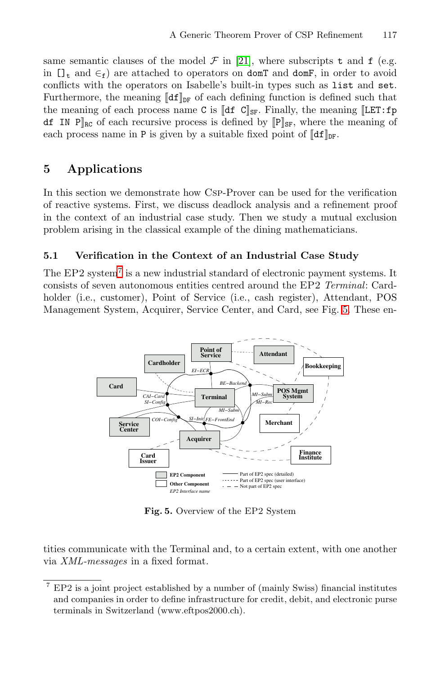<span id="page-9-0"></span>same semantic clauses of the model  $\mathcal F$  in [\[21\]](#page-15-0), where subscripts t and f (e.g. in  $[\,]_t$  and  $\in$ f) are attached to operators on domT and domF, in order to avoid conflicts with the operators on Isabelle's built-in types such as list and set. Furthermore, the meaning  $\llbracket df \rrbracket_{\text{DF}}$  of each defining function is defined such that the meaning of each process name C is  $\mathbf{Idf}$  C $\mathbf{I}_{\text{SF}}$ . Finally, the meaning  $\mathbf{[LET:fp]}$ df IN  $P_{\rm R}$  of each recursive process is defined by  $[P]_{\rm SFR}$ , where the meaning of each process name in P is given by a suitable fixed point of  $\llbracket df \rrbracket_{\text{DF}}$ .

# **5 Applications**

In this section we demonstrate how Csp-Prover can be used for the verification of reactive systems. First, we discuss deadlock analysis and a refinement proof in the context of an industrial case study. Then we study a mutual exclusion problem arising in the classical example of the dining mathematicians.

#### **5.1 Verification in the Context of an Industrial Case Study**

The  $EP2$  system<sup>7</sup> is a new industrial standard of electronic payment systems. It consists of seven autonomous entities centred around the EP2 *Terminal*: Cardholder (i.e., customer), Point of Service (i.e., cash register), Attendant, POS Management System, Acquirer, Service Center, and Card, see Fig. 5. These en-



**Fig. 5.** Overview of the EP2 System

tities communicate with the Terminal and, to a certain extent, with one another via *XML-messages* in a fixed format.

<sup>7</sup> EP2 is a joint project established by a number of (mainly Swiss) financial institutes and companies in order to define infrastructure for credit, debit, and electronic purse terminals in Switzerland (www.eftpos2000.ch).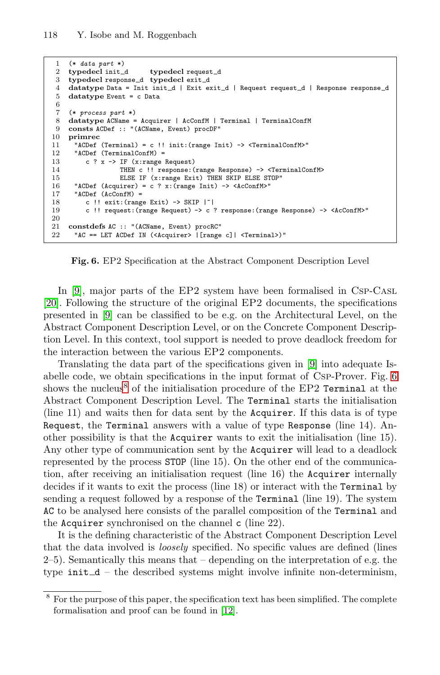```
1 (* data part *)
 2 typedecl init_d typedecl request_d
 3 typedecl response d typedecl exit d
 4 datatype Data = Init init_d | Exit exit_d | Request request_d | Response response_d
 5 datatype Event = c Data
 6
 7 (* process part *)<br>8 datatype ACName = Acquirer | AcConfM | Terminal | TerminalConfM
9 consts ACDef :: "(ACName, Event) procDF"
10 primrec
11 "ACDef (Terminal) = c !! init:(range Init) \rightarrow <TerminalConfM>"<br>12 "ACDef (TerminalConfM) =
12 "ACDef (TerminalConfM) =<br>13 c ? x -> IF (x:range
13 c ? x -> IF (x:range Request)<br>14 THEN c \ell response:
                   THEN c !! response: (range Response) -> <TerminalConfM>
15 ELSE IF (x:range Exit) THEN SKIP ELSE STOP"
16 "ACDef (Acquirer) = c ? x:(range Init) -> <AcConfM>"<br>17 "ACDef (AcConfM) =
      "ACDef (AcConfM) =
18 c !! exit:(range Exit) -> SKIP |~|
19 c !! request:(range Request) -> c ? response:(range Response) -> <AcConfM>"
20
21 constdefs AC :: "(ACName, Event) procRC"
      "AC == LET ACDef IN (<Acquirer> |[range c]| <Terminal>)"
```
**Fig. 6.** EP2 Specification at the Abstract Component Description Level

In [\[9\]](#page-14-0), major parts of the EP2 system have been formalised in CSP-CASL [\[20\]](#page-15-0). Following the structure of the original EP2 documents, the specifications presented in [\[9\]](#page-14-0) can be classified to be e.g. on the Architectural Level, on the Abstract Component Description Level, or on the Concrete Component Description Level. In this context, tool support is needed to prove deadlock freedom for the interaction between the various EP2 components.

Translating the data part of the specifications given in [\[9\]](#page-14-0) into adequate Isabelle code, we obtain specifications in the input format of Csp-Prover. Fig. 6 shows the nucleus<sup>8</sup> of the initialisation procedure of the EP2 Terminal at the Abstract Component Description Level. The Terminal starts the initialisation (line 11) and waits then for data sent by the Acquirer. If this data is of type Request, the Terminal answers with a value of type Response (line 14). Another possibility is that the Acquirer wants to exit the initialisation (line 15). Any other type of communication sent by the Acquirer will lead to a deadlock represented by the process STOP (line 15). On the other end of the communication, after receiving an initialisation request (line 16) the Acquirer internally decides if it wants to exit the process (line 18) or interact with the Terminal by sending a request followed by a response of the Terminal (line 19). The system AC to be analysed here consists of the parallel composition of the Terminal and the Acquirer synchronised on the channel c (line 22).

It is the defining characteristic of the Abstract Component Description Level that the data involved is *loosely* specified. No specific values are defined (lines  $2-5$ ). Semantically this means that – depending on the interpretation of e.g. the type  $init_d$  – the described systems might involve infinite non-determinism,

<sup>8</sup> For the purpose of this paper, the specification text has been simplified. The complete formalisation and proof can be found in [\[12\]](#page-14-0).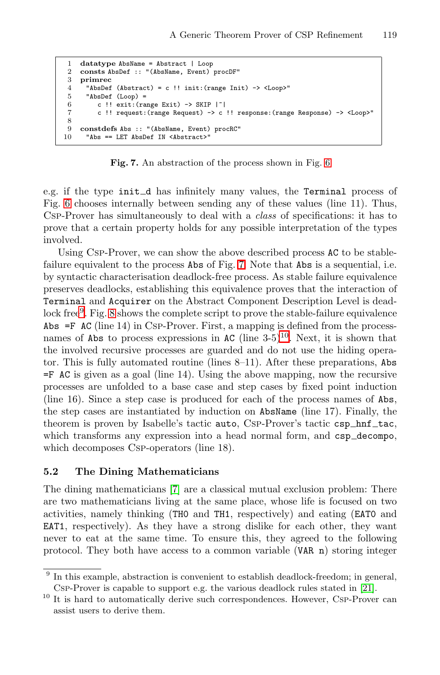```
1 datatype AbsName = Abstract | Loop
2 consts AbsDef :: "(AbsName, Event) procDF"
3 primrec
      "AbsDef (Abstract) = c !! init: (range Init) -> <Loop>"
5 "AbsDef (Loop) =<br>6 c \frac{11}{2} exit: (ra
6 c !! exit:(range Exit) -> SKIP |^2 c !! request:(range Request) -> c
         7 c !! request:(range Request) -> c !! response:(range Response) -> <Loop>"
8
9 constdefs Abs :: "(AbsName, Event) procRC"
10 "Abs == LET AbsDef IN <Abstract>"
```
**Fig. 7.** An abstraction of the process shown in Fig. [6](#page-10-0)

e.g. if the type init d has infinitely many values, the Terminal process of Fig. [6](#page-10-0) chooses internally between sending any of these values (line 11). Thus, Csp-Prover has simultaneously to deal with a *class* of specifications: it has to prove that a certain property holds for any possible interpretation of the types involved.

Using Csp-Prover, we can show the above described process AC to be stablefailure equivalent to the process Abs of Fig. 7. Note that Abs is a sequential, i.e. by syntactic characterisation deadlock-free process. As stable failure equivalence preserves deadlocks, establishing this equivalence proves that the interaction of Terminal and Acquirer on the Abstract Component Description Level is dead-lock free<sup>9</sup>. Fig. [8](#page-12-0) shows the complete script to prove the stable-failure equivalence Abs  $=$ F AC (line 14) in Csp-Prover. First, a mapping is defined from the processnames of Abs to process expressions in AC (line  $3-5$ )<sup>10</sup>. Next, it is shown that the involved recursive processes are guarded and do not use the hiding operator. This is fully automated routine (lines 8–11). After these preparations, Abs  $=$ F AC is given as a goal (line 14). Using the above mapping, now the recursive processes are unfolded to a base case and step cases by fixed point induction (line 16). Since a step case is produced for each of the process names of Abs, the step cases are instantiated by induction on AbsName (line 17). Finally, the theorem is proven by Isabelle's tactic auto, CSP-Prover's tactic csp\_hnf\_tac, which transforms any expression into a head normal form, and  $\texttt{csp\_decompo}$ , which decomposes Csp-operators (line 18).

#### **5.2 The Dining Mathematicians**

The dining mathematicians [\[7\]](#page-14-0) are a classical mutual exclusion problem: There are two mathematicians living at the same place, whose life is focused on two activities, namely thinking (TH0 and TH1, respectively) and eating (EAT0 and EAT1, respectively). As they have a strong dislike for each other, they want never to eat at the same time. To ensure this, they agreed to the following protocol. They both have access to a common variable (VAR n) storing integer

<sup>9</sup> In this example, abstraction is convenient to establish deadlock-freedom; in general, Csp-Prover is capable to support e.g. the various deadlock rules stated in [\[21\]](#page-15-0).

<sup>&</sup>lt;sup>10</sup> It is hard to automatically derive such correspondences. However, CsP-Prover can assist users to derive them.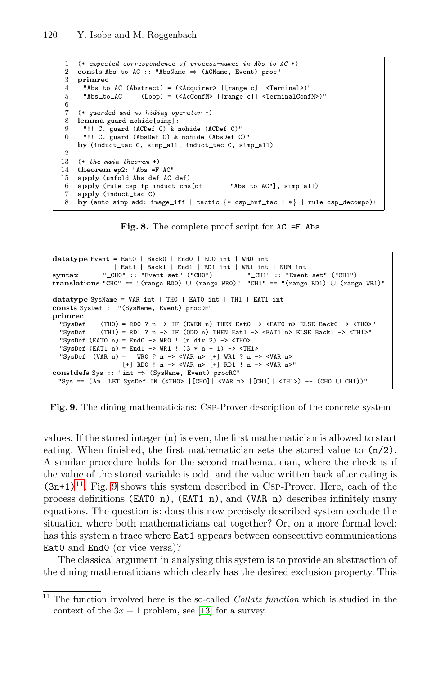```
1 (* expected correspondence of process-names in Abs to AC *)
 2 consts Abs_to_AC :: "AbsName \Rightarrow (ACName, Event) proc"<br>3 primrec
    3 primrec
 4 "Abs to AC (Abstract) = (<Acquirer> |[range c]| <Terminal>)"
 5 "Abs to AC (Loop) = (<AcConfM> |[range c]| <TerminalConfM>)"
 6
 7 (* guarded and no hiding operator *)
 8 lemma guard nohide[simp]:
 9 "!! C. guard (ACDef C) & nohide (ACDef C)"
10 "!! C. guard (AbsDef C) & nohide (AbsDef C)"<br>11 by (induct tac C. simp all induct tac C. sim
    by (induct_tac C, simp_all, induct_tac C, simp_all)
12
13 (* the main theorem *)
14 theorem ep2: "Abs =F AC"
15 apply (unfold Abs_def AC_def)
16 apply (rule csp_fp_induct_cms[of _ _ _ "Abs_to_AC"], simp_all)
17 apply (induct_tac C)
18 by (auto simp add: image_iff | tactic {* csp_hnf_tac 1 *} | rule csp_decompo}+
```
**Fig. 8.** The complete proof script for AC =F Abs

```
datatype Event = Eat0 | Back0 | End0 | RD0 int | WR0 int
              | Eat1 | Back1 | End1 | RD1 int | WR1 int | NUM int
syntax " CH0" :: "Event set" ("CH0") " CH1" :: "Event set" ("CH1")
translations "CH0" == "(range RD0) ∪ (range WR0)" "CH1" == "(range RD1) ∪ (range WR1)"
datatype SysName = VAR int | TH0 | EAT0 int | TH1 | EAT1 int
consts SysDef :: "(SysName, Event) procDF"
primrec
  "SysDef (TH0) = RD0 ? n -> IF (EVEN n) THEN Eat0 -> <EAT0 n> ELSE Back0 -> <TH0>"<br>"SysDef (TH1) = RD1 ? n -> IF (ODD n) THEN Eat1 -> <EAT1 n> ELSE Back1 -> <TH1>"
             (TH1) = RD1 ? n -> IF (ODD n) THEN Eat1 -> <EAT1 n> ELSE Back1 -> <TH1>"
  "SysDef (EATO n) = EndO -> WRO ! (n div 2) -> <THO>
  "SysDef (EAT1 n) = End1 -> WR1 ! (3 * n + 1) -> <TH1>
  "SysDef (VAR n) = WRO ? n -> <VAR n> [+] WR1 ? n -> <VAR n>
                   [+] RD0 ! n -> <VAR n> [+] RD1 ! n -> <VAR n>"
constdefs Sys :: "int ⇒ (SysName, Event) procRC"
 "Sys == (\lambda n. LET SysDef IN (<TH0> |[CH0]| <VAR n> |[CH1]| <TH1>) -- (CH0 ∪ CH1))"
```


values. If the stored integer (n) is even, the first mathematician is allowed to start eating. When finished, the first mathematician sets the stored value to (n/2). A similar procedure holds for the second mathematician, where the check is if the value of the stored variable is odd, and the value written back after eating is  $(3n+1)^{11}$ . Fig. 9 shows this system described in Csp-Prover. Here, each of the process definitions (EAT0 n), (EAT1 n), and (VAR n) describes infinitely many equations. The question is: does this now precisely described system exclude the situation where both mathematicians eat together? Or, on a more formal level: has this system a trace where **Eat1** appears between consecutive communications Eat0 and End0 (or vice versa)?

The classical argument in analysing this system is to provide an abstraction of the dining mathematicians which clearly has the desired exclusion property. This

 $\frac{11}{11}$  The function involved here is the so-called *Collatz function* which is studied in the context of the  $3x + 1$  problem, see [\[13\]](#page-14-0) for a survey.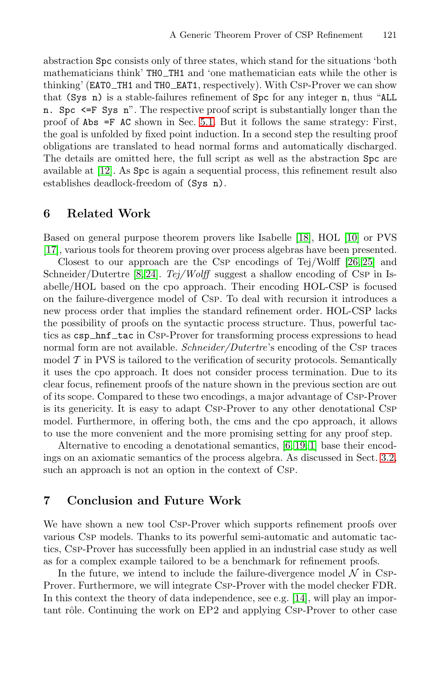abstraction Spc consists only of three states, which stand for the situations 'both mathematicians think' TH0 TH1 and 'one mathematician eats while the other is thinking' (EATO\_TH1 and THO\_EAT1, respectively). With CSP-Prover we can show that (Sys n) is a stable-failures refinement of Spc for any integer n, thus "ALL n. Spc <=F Sys n". The respective proof script is substantially longer than the proof of Abs =F AC shown in Sec. [5.1.](#page-9-0) But it follows the same strategy: First, the goal is unfolded by fixed point induction. In a second step the resulting proof obligations are translated to head normal forms and automatically discharged. The details are omitted here, the full script as well as the abstraction Spc are available at [\[12\]](#page-14-0). As Spc is again a sequential process, this refinement result also establishes deadlock-freedom of (Sys n).

#### **6 Related Work**

Based on general purpose theorem provers like Isabelle [\[18\]](#page-15-0), HOL [\[10\]](#page-14-0) or PVS [\[17\]](#page-15-0), various tools for theorem proving over process algebras have been presented.

Closest to our approach are the Csp encodings of Tej/Wolff [\[26, 25\]](#page-15-0) and Schneider/Dutertre [\[8,](#page-14-0) [24\]](#page-15-0). *Tej/Wolff* suggest a shallow encoding of Csp in Isabelle/HOL based on the cpo approach. Their encoding HOL-CSP is focused on the failure-divergence model of Csp. To deal with recursion it introduces a new process order that implies the standard refinement order. HOL-CSP lacks the possibility of proofs on the syntactic process structure. Thus, powerful tactics as csp\_hnf\_tac in Csp-Prover for transforming process expressions to head normal form are not available. *Schneider/Dutertre*'s encoding of the Csp traces model  $\mathcal T$  in PVS is tailored to the verification of security protocols. Semantically it uses the cpo approach. It does not consider process termination. Due to its clear focus, refinement proofs of the nature shown in the previous section are out of its scope. Compared to these two encodings, a major advantage of Csp-Prover is its genericity. It is easy to adapt Csp-Prover to any other denotational Csp model. Furthermore, in offering both, the cms and the cpo approach, it allows to use the more convenient and the more promising setting for any proof step.

Alternative to encoding a denotational semantics, [\[6,](#page-14-0) [19,](#page-15-0) [1\]](#page-14-0) base their encodings on an axiomatic semantics of the process algebra. As discussed in Sect. [3.2,](#page-3-0) such an approach is not an option in the context of Csp.

#### **7 Conclusion and Future Work**

We have shown a new tool Csp-Prover which supports refinement proofs over various Csp models. Thanks to its powerful semi-automatic and automatic tactics, Csp-Prover has successfully been applied in an industrial case study as well as for a complex example tailored to be a benchmark for refinement proofs.

In the future, we intend to include the failure-divergence model  $\mathcal N$  in Csp-Prover. Furthermore, we will integrate Csp-Prover with the model checker FDR. In this context the theory of data independence, see e.g. [\[14\]](#page-14-0), will play an important rôle. Continuing the work on EP2 and applying Csp-Prover to other case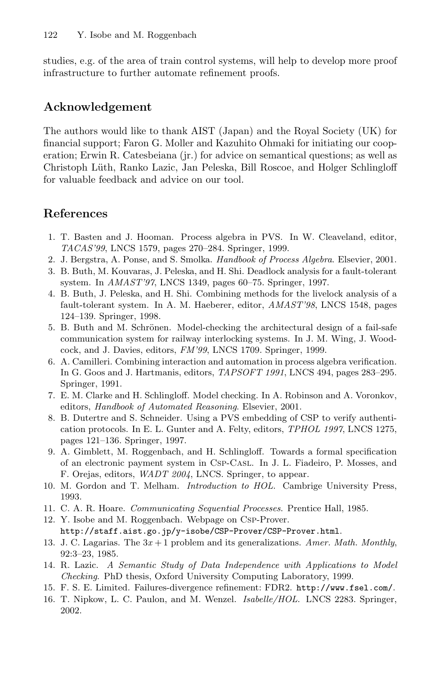<span id="page-14-0"></span>studies, e.g. of the area of train control systems, will help to develop more proof infrastructure to further automate refinement proofs.

# **Acknowledgement**

The authors would like to thank AIST (Japan) and the Royal Society (UK) for financial support; Faron G. Moller and Kazuhito Ohmaki for initiating our cooperation; Erwin R. Catesbeiana (jr.) for advice on semantical questions; as well as Christoph L¨uth, Ranko Lazic, Jan Peleska, Bill Roscoe, and Holger Schlingloff for valuable feedback and advice on our tool.

# **References**

- 1. T. Basten and J. Hooman. Process algebra in PVS. In W. Cleaveland, editor, TACAS'99, LNCS 1579, pages 270–284. Springer, 1999.
- 2. J. Bergstra, A. Ponse, and S. Smolka. Handbook of Process Algebra. Elsevier, 2001.
- 3. B. Buth, M. Kouvaras, J. Peleska, and H. Shi. Deadlock analysis for a fault-tolerant system. In AMAST'97, LNCS 1349, pages 60–75. Springer, 1997.
- 4. B. Buth, J. Peleska, and H. Shi. Combining methods for the livelock analysis of a fault-tolerant system. In A. M. Haeberer, editor, AMAST'98, LNCS 1548, pages 124–139. Springer, 1998.
- 5. B. Buth and M. Schrönen. Model-checking the architectural design of a fail-safe communication system for railway interlocking systems. In J. M. Wing, J. Woodcock, and J. Davies, editors, FM'99, LNCS 1709. Springer, 1999.
- 6. A. Camilleri. Combining interaction and automation in process algebra verification. In G. Goos and J. Hartmanis, editors, TAPSOFT 1991, LNCS 494, pages 283–295. Springer, 1991.
- 7. E. M. Clarke and H. Schlingloff. Model checking. In A. Robinson and A. Voronkov, editors, Handbook of Automated Reasoning. Elsevier, 2001.
- 8. B. Dutertre and S. Schneider. Using a PVS embedding of CSP to verify authentication protocols. In E. L. Gunter and A. Felty, editors, TPHOL 1997, LNCS 1275, pages 121–136. Springer, 1997.
- 9. A. Gimblett, M. Roggenbach, and H. Schlingloff. Towards a formal specification of an electronic payment system in Csp-Casl. In J. L. Fiadeiro, P. Mosses, and F. Orejas, editors, WADT 2004, LNCS. Springer, to appear.
- 10. M. Gordon and T. Melham. Introduction to HOL. Cambrige University Press, 1993.
- 11. C. A. R. Hoare. Communicating Sequential Processes. Prentice Hall, 1985.
- 12. Y. Isobe and M. Roggenbach. Webpage on Csp-Prover. http://staff.aist.go.jp/y-isobe/CSP-Prover/CSP-Prover.html.
- 13. J. C. Lagarias. The  $3x + 1$  problem and its generalizations. Amer. Math. Monthly, 92:3–23, 1985.
- 14. R. Lazic. A Semantic Study of Data Independence with Applications to Model Checking. PhD thesis, Oxford University Computing Laboratory, 1999.
- 15. F. S. E. Limited. Failures-divergence refinement: FDR2. http://www.fsel.com/.
- 16. T. Nipkow, L. C. Paulon, and M. Wenzel. Isabelle/HOL. LNCS 2283. Springer, 2002.